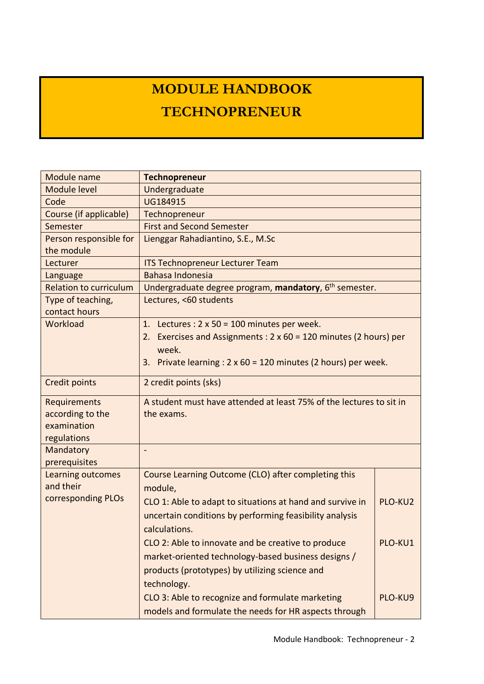## **MODULE HANDBOOK TECHNOPRENEUR**

| Module name                   | <b>Technopreneur</b>                                                        |         |  |  |  |  |  |
|-------------------------------|-----------------------------------------------------------------------------|---------|--|--|--|--|--|
| <b>Module level</b>           | Undergraduate                                                               |         |  |  |  |  |  |
| Code                          | UG184915                                                                    |         |  |  |  |  |  |
| Course (if applicable)        | Technopreneur                                                               |         |  |  |  |  |  |
| Semester                      | <b>First and Second Semester</b>                                            |         |  |  |  |  |  |
| Person responsible for        | Lienggar Rahadiantino, S.E., M.Sc                                           |         |  |  |  |  |  |
| the module                    |                                                                             |         |  |  |  |  |  |
| Lecturer                      | <b>ITS Technopreneur Lecturer Team</b>                                      |         |  |  |  |  |  |
| Language                      | Bahasa Indonesia                                                            |         |  |  |  |  |  |
| <b>Relation to curriculum</b> | Undergraduate degree program, mandatory, 6 <sup>th</sup> semester.          |         |  |  |  |  |  |
| Type of teaching,             | Lectures, <60 students                                                      |         |  |  |  |  |  |
| contact hours                 |                                                                             |         |  |  |  |  |  |
| Workload                      | 1. Lectures : $2 \times 50 = 100$ minutes per week.                         |         |  |  |  |  |  |
|                               | Exercises and Assignments : $2 \times 60 = 120$ minutes (2 hours) per<br>2. |         |  |  |  |  |  |
|                               | week.                                                                       |         |  |  |  |  |  |
|                               | Private learning : $2 \times 60 = 120$ minutes (2 hours) per week.<br>3.    |         |  |  |  |  |  |
| <b>Credit points</b>          | 2 credit points (sks)                                                       |         |  |  |  |  |  |
| <b>Requirements</b>           | A student must have attended at least 75% of the lectures to sit in         |         |  |  |  |  |  |
| according to the              | the exams.                                                                  |         |  |  |  |  |  |
| examination                   |                                                                             |         |  |  |  |  |  |
| regulations                   |                                                                             |         |  |  |  |  |  |
| Mandatory                     | $\overline{\phantom{0}}$                                                    |         |  |  |  |  |  |
| prerequisites                 |                                                                             |         |  |  |  |  |  |
| Learning outcomes             | Course Learning Outcome (CLO) after completing this                         |         |  |  |  |  |  |
| and their                     | module,                                                                     |         |  |  |  |  |  |
| corresponding PLOs            | CLO 1: Able to adapt to situations at hand and survive in                   | PLO-KU2 |  |  |  |  |  |
|                               | uncertain conditions by performing feasibility analysis                     |         |  |  |  |  |  |
|                               | calculations.                                                               |         |  |  |  |  |  |
|                               | CLO 2: Able to innovate and be creative to produce                          | PLO-KU1 |  |  |  |  |  |
|                               | market-oriented technology-based business designs /                         |         |  |  |  |  |  |
|                               | products (prototypes) by utilizing science and                              |         |  |  |  |  |  |
|                               |                                                                             |         |  |  |  |  |  |
|                               | technology.                                                                 |         |  |  |  |  |  |
|                               | CLO 3: Able to recognize and formulate marketing                            | PLO-KU9 |  |  |  |  |  |
|                               | models and formulate the needs for HR aspects through                       |         |  |  |  |  |  |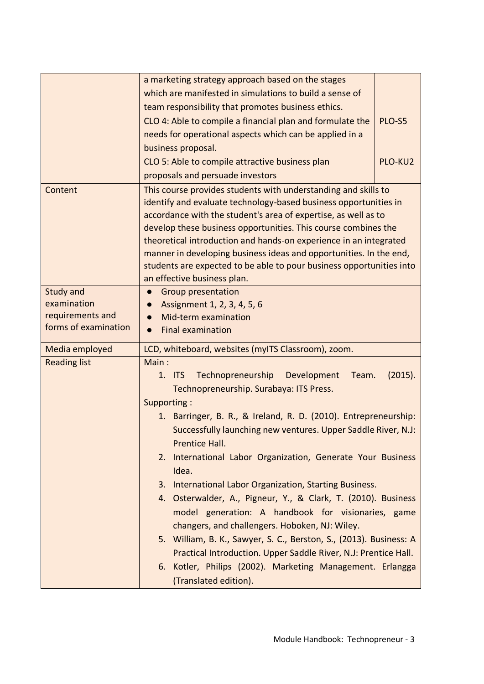|                      | a marketing strategy approach based on the stages                               |         |
|----------------------|---------------------------------------------------------------------------------|---------|
|                      | which are manifested in simulations to build a sense of                         |         |
|                      | team responsibility that promotes business ethics.                              |         |
|                      | CLO 4: Able to compile a financial plan and formulate the                       | PLO-S5  |
|                      | needs for operational aspects which can be applied in a                         |         |
|                      | business proposal.                                                              |         |
|                      | CLO 5: Able to compile attractive business plan                                 | PLO-KU2 |
|                      | proposals and persuade investors                                                |         |
| Content              | This course provides students with understanding and skills to                  |         |
|                      | identify and evaluate technology-based business opportunities in                |         |
|                      | accordance with the student's area of expertise, as well as to                  |         |
|                      | develop these business opportunities. This course combines the                  |         |
|                      | theoretical introduction and hands-on experience in an integrated               |         |
|                      | manner in developing business ideas and opportunities. In the end,              |         |
|                      | students are expected to be able to pour business opportunities into            |         |
| Study and            | an effective business plan.                                                     |         |
| examination          | <b>Group presentation</b><br>Assignment 1, 2, 3, 4, 5, 6                        |         |
| requirements and     | Mid-term examination                                                            |         |
| forms of examination | <b>Final examination</b><br>$\bullet$                                           |         |
|                      |                                                                                 |         |
| Media employed       | LCD, whiteboard, websites (myITS Classroom), zoom.                              |         |
| <b>Reading list</b>  | Main:                                                                           |         |
|                      | Technopreneurship<br>$1.$ ITS<br>Development<br>Team.                           | (2015). |
|                      | Technopreneurship. Surabaya: ITS Press.                                         |         |
|                      | Supporting:                                                                     |         |
|                      | 1. Barringer, B. R., & Ireland, R. D. (2010). Entrepreneurship:                 |         |
|                      | Successfully launching new ventures. Upper Saddle River, N.J:<br>Prentice Hall. |         |
|                      | 2. International Labor Organization, Generate Your Business                     |         |
|                      | Idea.                                                                           |         |
|                      | International Labor Organization, Starting Business.<br>3.                      |         |
|                      | Osterwalder, A., Pigneur, Y., & Clark, T. (2010). Business<br>4.                |         |
|                      | model generation: A handbook for visionaries, game                              |         |
|                      | changers, and challengers. Hoboken, NJ: Wiley.                                  |         |
|                      | 5. William, B. K., Sawyer, S. C., Berston, S., (2013). Business: A              |         |
|                      |                                                                                 |         |
|                      | Kotler, Philips (2002). Marketing Management. Erlangga<br>6.                    |         |
|                      |                                                                                 |         |
|                      | Practical Introduction. Upper Saddle River, N.J: Prentice Hall.                 |         |
|                      | (Translated edition).                                                           |         |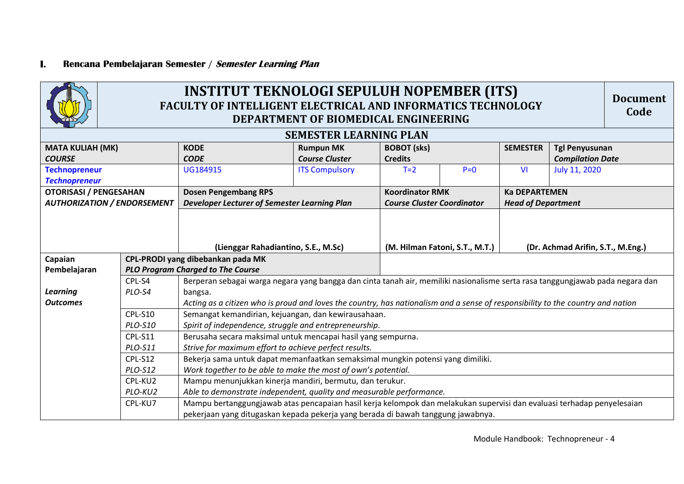## **I. Rencana Pembelajaran Semester / Semester Learning Plan**

| <b>INSTITUT TEKNOLOGI SEPULUH NOPEMBER (ITS)</b>                    |                                                                                                              |                                                                                                                                 |                                           |                                                             |       |                                                   |                                                  | <b>Document</b> |  |
|---------------------------------------------------------------------|--------------------------------------------------------------------------------------------------------------|---------------------------------------------------------------------------------------------------------------------------------|-------------------------------------------|-------------------------------------------------------------|-------|---------------------------------------------------|--------------------------------------------------|-----------------|--|
|                                                                     | FACULTY OF INTELLIGENT ELECTRICAL AND INFORMATICS TECHNOLOGY<br>Code<br>DEPARTMENT OF BIOMEDICAL ENGINEERING |                                                                                                                                 |                                           |                                                             |       |                                                   |                                                  |                 |  |
|                                                                     | <b>SEMESTER LEARNING PLAN</b>                                                                                |                                                                                                                                 |                                           |                                                             |       |                                                   |                                                  |                 |  |
| <b>MATA KULIAH (MK)</b><br><b>COURSE</b>                            |                                                                                                              | <b>KODE</b><br><b>CODE</b>                                                                                                      | <b>Rumpun MK</b><br><b>Course Cluster</b> | <b>BOBOT</b> (sks)<br><b>Credits</b>                        |       |                                                   | <b>Tgl Penyusunan</b><br><b>Compilation Date</b> |                 |  |
| <b>Technopreneur</b><br><b>Technopreneur</b>                        |                                                                                                              | UG184915                                                                                                                        | <b>ITS Compulsory</b>                     | $T=2$                                                       | $P=0$ | V <sub>1</sub>                                    | July 11, 2020                                    |                 |  |
| <b>OTORISASI / PENGESAHAN</b><br><b>AUTHORIZATION / ENDORSEMENT</b> |                                                                                                              | <b>Dosen Pengembang RPS</b><br>Developer Lecturer of Semester Learning Plan                                                     |                                           | <b>Koordinator RMK</b><br><b>Course Cluster Coordinator</b> |       | <b>Ka DEPARTEMEN</b><br><b>Head of Department</b> |                                                  |                 |  |
|                                                                     |                                                                                                              |                                                                                                                                 |                                           |                                                             |       |                                                   |                                                  |                 |  |
|                                                                     |                                                                                                              | (Lienggar Rahadiantino, S.E., M.Sc)                                                                                             |                                           | (M. Hilman Fatoni, S.T., M.T.)                              |       | (Dr. Achmad Arifin, S.T., M.Eng.)                 |                                                  |                 |  |
| Capaian                                                             |                                                                                                              | CPL-PRODI yang dibebankan pada MK                                                                                               |                                           |                                                             |       |                                                   |                                                  |                 |  |
| Pembelajaran                                                        |                                                                                                              | <b>PLO Program Charged to The Course</b>                                                                                        |                                           |                                                             |       |                                                   |                                                  |                 |  |
|                                                                     | CPL-S4                                                                                                       | Berperan sebagai warga negara yang bangga dan cinta tanah air, memiliki nasionalisme serta rasa tanggungjawab pada negara dan   |                                           |                                                             |       |                                                   |                                                  |                 |  |
| <b>Learning</b>                                                     | PLO-S4                                                                                                       | bangsa.                                                                                                                         |                                           |                                                             |       |                                                   |                                                  |                 |  |
| <b>Outcomes</b>                                                     |                                                                                                              | Acting as a citizen who is proud and loves the country, has nationalism and a sense of responsibility to the country and nation |                                           |                                                             |       |                                                   |                                                  |                 |  |
|                                                                     | <b>CPL-S10</b>                                                                                               | Semangat kemandirian, kejuangan, dan kewirausahaan.                                                                             |                                           |                                                             |       |                                                   |                                                  |                 |  |
|                                                                     | PLO-S10                                                                                                      | Spirit of independence, struggle and entrepreneurship.                                                                          |                                           |                                                             |       |                                                   |                                                  |                 |  |
|                                                                     | CPL-S11                                                                                                      | Berusaha secara maksimal untuk mencapai hasil yang sempurna.                                                                    |                                           |                                                             |       |                                                   |                                                  |                 |  |
|                                                                     | PLO-S11                                                                                                      | Strive for maximum effort to achieve perfect results.                                                                           |                                           |                                                             |       |                                                   |                                                  |                 |  |
|                                                                     | CPL-S12                                                                                                      | Bekerja sama untuk dapat memanfaatkan semaksimal mungkin potensi yang dimiliki.                                                 |                                           |                                                             |       |                                                   |                                                  |                 |  |
|                                                                     | PLO-S12                                                                                                      | Work together to be able to make the most of own's potential.                                                                   |                                           |                                                             |       |                                                   |                                                  |                 |  |
|                                                                     | CPL-KU2                                                                                                      | Mampu menunjukkan kinerja mandiri, bermutu, dan terukur.                                                                        |                                           |                                                             |       |                                                   |                                                  |                 |  |
|                                                                     | PLO-KU2                                                                                                      | Able to demonstrate independent, quality and measurable performance.                                                            |                                           |                                                             |       |                                                   |                                                  |                 |  |
|                                                                     | CPL-KU7                                                                                                      | Mampu bertanggungjawab atas pencapaian hasil kerja kelompok dan melakukan supervisi dan evaluasi terhadap penyelesaian          |                                           |                                                             |       |                                                   |                                                  |                 |  |
|                                                                     |                                                                                                              | pekerjaan yang ditugaskan kepada pekerja yang berada di bawah tanggung jawabnya.                                                |                                           |                                                             |       |                                                   |                                                  |                 |  |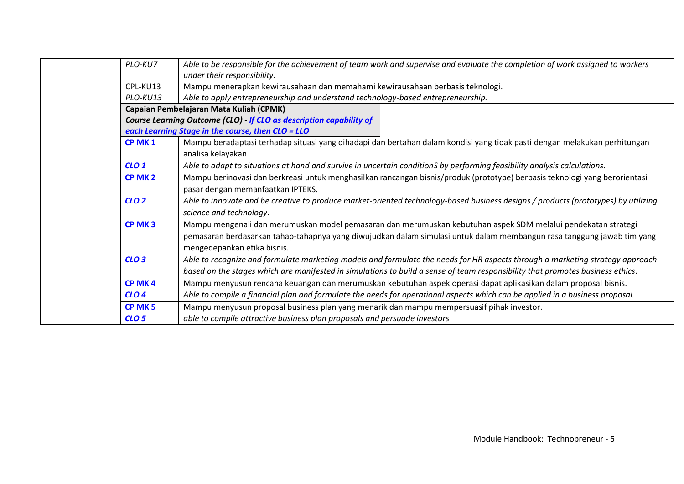| Able to be responsible for the achievement of team work and supervise and evaluate the completion of work assigned to workers      |  |  |  |  |  |
|------------------------------------------------------------------------------------------------------------------------------------|--|--|--|--|--|
| under their responsibility.                                                                                                        |  |  |  |  |  |
| Mampu menerapkan kewirausahaan dan memahami kewirausahaan berbasis teknologi.                                                      |  |  |  |  |  |
| Able to apply entrepreneurship and understand technology-based entrepreneurship.                                                   |  |  |  |  |  |
| Capaian Pembelajaran Mata Kuliah (CPMK)                                                                                            |  |  |  |  |  |
| Course Learning Outcome (CLO) If CLO as description capability of                                                                  |  |  |  |  |  |
| each Learning Stage in the course, then CLO = LLO                                                                                  |  |  |  |  |  |
| Mampu beradaptasi terhadap situasi yang dihadapi dan bertahan dalam kondisi yang tidak pasti dengan melakukan perhitungan          |  |  |  |  |  |
| analisa kelayakan.                                                                                                                 |  |  |  |  |  |
| Able to adapt to situations at hand and survive in uncertain conditionS by performing feasibility analysis calculations.           |  |  |  |  |  |
| Mampu berinovasi dan berkreasi untuk menghasilkan rancangan bisnis/produk (prototype) berbasis teknologi yang berorientasi         |  |  |  |  |  |
| pasar dengan memanfaatkan IPTEKS.                                                                                                  |  |  |  |  |  |
| Able to innovate and be creative to produce market-oriented technology-based business designs / products (prototypes) by utilizing |  |  |  |  |  |
| science and technology.                                                                                                            |  |  |  |  |  |
| Mampu mengenali dan merumuskan model pemasaran dan merumuskan kebutuhan aspek SDM melalui pendekatan strategi                      |  |  |  |  |  |
| pemasaran berdasarkan tahap-tahapnya yang diwujudkan dalam simulasi untuk dalam membangun rasa tanggung jawab tim yang             |  |  |  |  |  |
| mengedepankan etika bisnis.                                                                                                        |  |  |  |  |  |
| Able to recognize and formulate marketing models and formulate the needs for HR aspects through a marketing strategy approach      |  |  |  |  |  |
| based on the stages which are manifested in simulations to build a sense of team responsibility that promotes business ethics.     |  |  |  |  |  |
| Mampu menyusun rencana keuangan dan merumuskan kebutuhan aspek operasi dapat aplikasikan dalam proposal bisnis.                    |  |  |  |  |  |
| Able to compile a financial plan and formulate the needs for operational aspects which can be applied in a business proposal.      |  |  |  |  |  |
| Mampu menyusun proposal business plan yang menarik dan mampu mempersuasif pihak investor.                                          |  |  |  |  |  |
| able to compile attractive business plan proposals and persuade investors                                                          |  |  |  |  |  |
|                                                                                                                                    |  |  |  |  |  |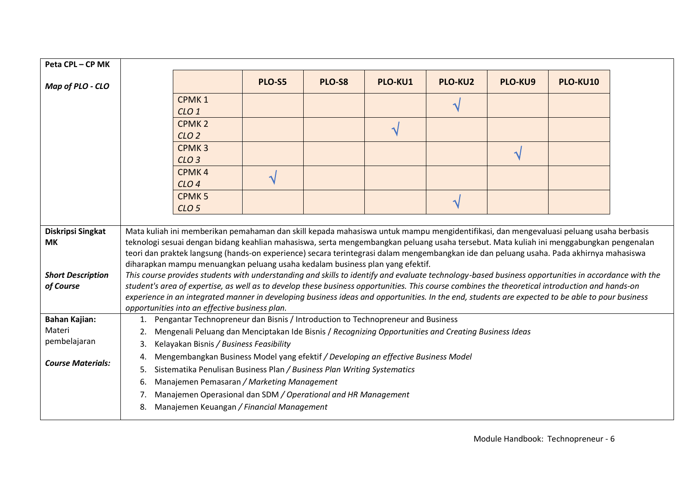| Peta CPL - CP MK                                   |                                                                                          |                                                                                                                                                                                                                                                                                                                                                                                                                                                                                                                                                                                                                                                                               |        |        |         |                |               |          |  |
|----------------------------------------------------|------------------------------------------------------------------------------------------|-------------------------------------------------------------------------------------------------------------------------------------------------------------------------------------------------------------------------------------------------------------------------------------------------------------------------------------------------------------------------------------------------------------------------------------------------------------------------------------------------------------------------------------------------------------------------------------------------------------------------------------------------------------------------------|--------|--------|---------|----------------|---------------|----------|--|
| Map of PLO - CLO                                   |                                                                                          |                                                                                                                                                                                                                                                                                                                                                                                                                                                                                                                                                                                                                                                                               | PLO-S5 | PLO-S8 | PLO-KU1 | <b>PLO-KU2</b> | PLO-KU9       | PLO-KU10 |  |
|                                                    |                                                                                          | CPMK <sub>1</sub>                                                                                                                                                                                                                                                                                                                                                                                                                                                                                                                                                                                                                                                             |        |        |         |                |               |          |  |
|                                                    |                                                                                          | CLO <sub>1</sub>                                                                                                                                                                                                                                                                                                                                                                                                                                                                                                                                                                                                                                                              |        |        |         |                |               |          |  |
|                                                    |                                                                                          | CPMK <sub>2</sub>                                                                                                                                                                                                                                                                                                                                                                                                                                                                                                                                                                                                                                                             |        |        |         |                |               |          |  |
|                                                    |                                                                                          | CLO <sub>2</sub>                                                                                                                                                                                                                                                                                                                                                                                                                                                                                                                                                                                                                                                              |        |        | √       |                |               |          |  |
|                                                    |                                                                                          | CPMK <sub>3</sub>                                                                                                                                                                                                                                                                                                                                                                                                                                                                                                                                                                                                                                                             |        |        |         |                |               |          |  |
|                                                    |                                                                                          | CLO <sub>3</sub>                                                                                                                                                                                                                                                                                                                                                                                                                                                                                                                                                                                                                                                              |        |        |         |                | $\mathcal{N}$ |          |  |
|                                                    |                                                                                          | CPMK <sub>4</sub>                                                                                                                                                                                                                                                                                                                                                                                                                                                                                                                                                                                                                                                             |        |        |         |                |               |          |  |
|                                                    |                                                                                          | CLO <sub>4</sub>                                                                                                                                                                                                                                                                                                                                                                                                                                                                                                                                                                                                                                                              | N      |        |         |                |               |          |  |
|                                                    |                                                                                          | <b>CPMK5</b>                                                                                                                                                                                                                                                                                                                                                                                                                                                                                                                                                                                                                                                                  |        |        |         | الہ            |               |          |  |
|                                                    |                                                                                          | CLO <sub>5</sub>                                                                                                                                                                                                                                                                                                                                                                                                                                                                                                                                                                                                                                                              |        |        |         |                |               |          |  |
| Diskripsi Singkat                                  |                                                                                          | Mata kuliah ini memberikan pemahaman dan skill kepada mahasiswa untuk mampu mengidentifikasi, dan mengevaluasi peluang usaha berbasis                                                                                                                                                                                                                                                                                                                                                                                                                                                                                                                                         |        |        |         |                |               |          |  |
| <b>MK</b><br><b>Short Description</b><br>of Course |                                                                                          | teknologi sesuai dengan bidang keahlian mahasiswa, serta mengembangkan peluang usaha tersebut. Mata kuliah ini menggabungkan pengenalan<br>teori dan praktek langsung (hands-on experience) secara terintegrasi dalam mengembangkan ide dan peluang usaha. Pada akhirnya mahasiswa<br>diharapkan mampu menuangkan peluang usaha kedalam business plan yang efektif.<br>This course provides students with understanding and skills to identify and evaluate technology-based business opportunities in accordance with the<br>student's area of expertise, as well as to develop these business opportunities. This course combines the theoretical introduction and hands-on |        |        |         |                |               |          |  |
|                                                    |                                                                                          | experience in an integrated manner in developing business ideas and opportunities. In the end, students are expected to be able to pour business                                                                                                                                                                                                                                                                                                                                                                                                                                                                                                                              |        |        |         |                |               |          |  |
|                                                    |                                                                                          | opportunities into an effective business plan.                                                                                                                                                                                                                                                                                                                                                                                                                                                                                                                                                                                                                                |        |        |         |                |               |          |  |
| <b>Bahan Kajian:</b>                               | 1.                                                                                       | Pengantar Technopreneur dan Bisnis / Introduction to Technopreneur and Business                                                                                                                                                                                                                                                                                                                                                                                                                                                                                                                                                                                               |        |        |         |                |               |          |  |
| Materi                                             | 2.                                                                                       | Mengenali Peluang dan Menciptakan Ide Bisnis / Recognizing Opportunities and Creating Business Ideas                                                                                                                                                                                                                                                                                                                                                                                                                                                                                                                                                                          |        |        |         |                |               |          |  |
| pembelajaran                                       | 3.                                                                                       | Kelayakan Bisnis / Business Feasibility                                                                                                                                                                                                                                                                                                                                                                                                                                                                                                                                                                                                                                       |        |        |         |                |               |          |  |
| <b>Course Materials:</b>                           | Mengembangkan Business Model yang efektif / Developing an effective Business Model<br>4. |                                                                                                                                                                                                                                                                                                                                                                                                                                                                                                                                                                                                                                                                               |        |        |         |                |               |          |  |
|                                                    | 5.                                                                                       | Sistematika Penulisan Business Plan / Business Plan Writing Systematics                                                                                                                                                                                                                                                                                                                                                                                                                                                                                                                                                                                                       |        |        |         |                |               |          |  |
|                                                    | 6.                                                                                       | Manajemen Pemasaran / Marketing Management                                                                                                                                                                                                                                                                                                                                                                                                                                                                                                                                                                                                                                    |        |        |         |                |               |          |  |
|                                                    | 7.                                                                                       | Manajemen Operasional dan SDM / Operational and HR Management                                                                                                                                                                                                                                                                                                                                                                                                                                                                                                                                                                                                                 |        |        |         |                |               |          |  |
|                                                    | 8.                                                                                       | Manajemen Keuangan / Financial Management                                                                                                                                                                                                                                                                                                                                                                                                                                                                                                                                                                                                                                     |        |        |         |                |               |          |  |
|                                                    |                                                                                          |                                                                                                                                                                                                                                                                                                                                                                                                                                                                                                                                                                                                                                                                               |        |        |         |                |               |          |  |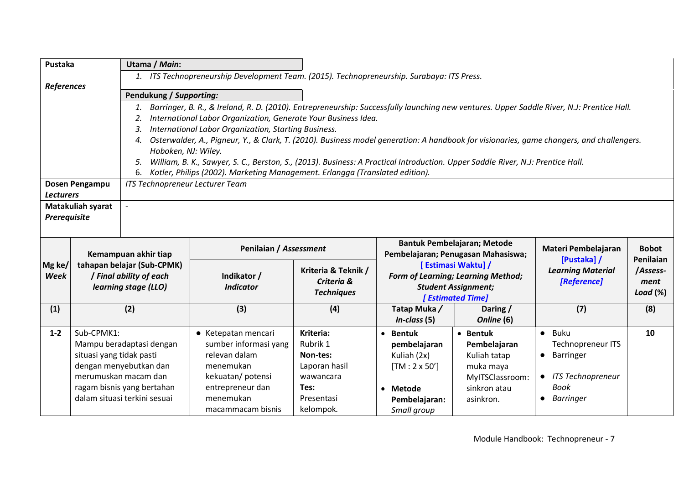| Pustaka                                                                                                                                                              |                                        | Utama / Main:                                                                                                                            |                                                                                                                                                      |                                                                                                    |                                                                                                                          |                                                                                                       |                                                                                                                                      |                                 |  |  |
|----------------------------------------------------------------------------------------------------------------------------------------------------------------------|----------------------------------------|------------------------------------------------------------------------------------------------------------------------------------------|------------------------------------------------------------------------------------------------------------------------------------------------------|----------------------------------------------------------------------------------------------------|--------------------------------------------------------------------------------------------------------------------------|-------------------------------------------------------------------------------------------------------|--------------------------------------------------------------------------------------------------------------------------------------|---------------------------------|--|--|
|                                                                                                                                                                      |                                        |                                                                                                                                          | 1. ITS Technopreneurship Development Team. (2015). Technopreneurship. Surabaya: ITS Press.                                                           |                                                                                                    |                                                                                                                          |                                                                                                       |                                                                                                                                      |                                 |  |  |
| <b>References</b>                                                                                                                                                    |                                        |                                                                                                                                          |                                                                                                                                                      |                                                                                                    |                                                                                                                          |                                                                                                       |                                                                                                                                      |                                 |  |  |
| Pendukung / Supporting:<br>Barringer, B. R., & Ireland, R. D. (2010). Entrepreneurship: Successfully launching new ventures. Upper Saddle River, N.J: Prentice Hall. |                                        |                                                                                                                                          |                                                                                                                                                      |                                                                                                    |                                                                                                                          |                                                                                                       |                                                                                                                                      |                                 |  |  |
|                                                                                                                                                                      |                                        | 2.                                                                                                                                       | International Labor Organization, Generate Your Business Idea.                                                                                       |                                                                                                    |                                                                                                                          |                                                                                                       |                                                                                                                                      |                                 |  |  |
|                                                                                                                                                                      |                                        | International Labor Organization, Starting Business.<br>3.                                                                               |                                                                                                                                                      |                                                                                                    |                                                                                                                          |                                                                                                       |                                                                                                                                      |                                 |  |  |
|                                                                                                                                                                      |                                        | 4.                                                                                                                                       | Osterwalder, A., Pigneur, Y., & Clark, T. (2010). Business model generation: A handbook for visionaries, game changers, and challengers.             |                                                                                                    |                                                                                                                          |                                                                                                       |                                                                                                                                      |                                 |  |  |
|                                                                                                                                                                      |                                        | Hoboken, NJ: Wiley.                                                                                                                      |                                                                                                                                                      |                                                                                                    |                                                                                                                          |                                                                                                       |                                                                                                                                      |                                 |  |  |
|                                                                                                                                                                      |                                        | 5.                                                                                                                                       | William, B. K., Sawyer, S. C., Berston, S., (2013). Business: A Practical Introduction. Upper Saddle River, N.J: Prentice Hall.                      |                                                                                                    |                                                                                                                          |                                                                                                       |                                                                                                                                      |                                 |  |  |
|                                                                                                                                                                      |                                        | 6.                                                                                                                                       | Kotler, Philips (2002). Marketing Management. Erlangga (Translated edition).                                                                         |                                                                                                    |                                                                                                                          |                                                                                                       |                                                                                                                                      |                                 |  |  |
|                                                                                                                                                                      | Dosen Pengampu                         | ITS Technopreneur Lecturer Team                                                                                                          |                                                                                                                                                      |                                                                                                    |                                                                                                                          |                                                                                                       |                                                                                                                                      |                                 |  |  |
| <b>Lecturers</b>                                                                                                                                                     | <b>Matakuliah syarat</b>               |                                                                                                                                          |                                                                                                                                                      |                                                                                                    |                                                                                                                          |                                                                                                       |                                                                                                                                      |                                 |  |  |
| Prerequisite                                                                                                                                                         |                                        |                                                                                                                                          |                                                                                                                                                      |                                                                                                    |                                                                                                                          |                                                                                                       |                                                                                                                                      |                                 |  |  |
|                                                                                                                                                                      |                                        |                                                                                                                                          |                                                                                                                                                      |                                                                                                    |                                                                                                                          |                                                                                                       |                                                                                                                                      |                                 |  |  |
|                                                                                                                                                                      |                                        | Penilaian / Assessment<br>Kemampuan akhir tiap                                                                                           |                                                                                                                                                      | <b>Bantuk Pembelajaran; Metode</b><br>Pembelajaran; Penugasan Mahasiswa;                           |                                                                                                                          |                                                                                                       | Materi Pembelajaran<br>[Pustaka] /                                                                                                   | <b>Bobot</b><br>Penilaian       |  |  |
| Mg ke/<br>Week                                                                                                                                                       |                                        | tahapan belajar (Sub-CPMK)<br>/ Final ability of each<br>learning stage (LLO)                                                            | Indikator /<br><b>Indicator</b>                                                                                                                      | Kriteria & Teknik /<br>Criteria &<br><b>Techniques</b>                                             | [Estimasi Waktu] /<br><b>Form of Learning; Learning Method;</b><br><b>Student Assignment;</b><br><b>[Estimated Time]</b> |                                                                                                       | <b>Learning Material</b><br>[Reference]                                                                                              | /Assess-<br>ment<br>Load $(\%)$ |  |  |
| (1)                                                                                                                                                                  |                                        | (2)                                                                                                                                      | (3)                                                                                                                                                  | (4)                                                                                                | Tatap Muka/<br>$In-class (5)$                                                                                            | Daring /<br>Online (6)                                                                                | (7)                                                                                                                                  | (8)                             |  |  |
| $1 - 2$                                                                                                                                                              | Sub-CPMK1:<br>situasi yang tidak pasti | Mampu beradaptasi dengan<br>dengan menyebutkan dan<br>merumuskan macam dan<br>ragam bisnis yang bertahan<br>dalam situasi terkini sesuai | • Ketepatan mencari<br>sumber informasi yang<br>relevan dalam<br>menemukan<br>kekuatan/potensi<br>entrepreneur dan<br>menemukan<br>macammacam bisnis | Kriteria:<br>Rubrik 1<br>Non-tes:<br>Laporan hasil<br>wawancara<br>Tes:<br>Presentasi<br>kelompok. | • Bentuk<br>pembelajaran<br>Kuliah (2x)<br>$[TM: 2 \times 50']$<br>• Metode<br>Pembelajaran:<br>Small group              | • Bentuk<br>Pembelajaran<br>Kuliah tatap<br>muka maya<br>MyITSClassroom:<br>sinkron atau<br>asinkron. | $\bullet$ Buku<br><b>Technopreneur ITS</b><br>Barringer<br>$\bullet$<br>• ITS Technopreneur<br><b>Book</b><br>Barringer<br>$\bullet$ | 10                              |  |  |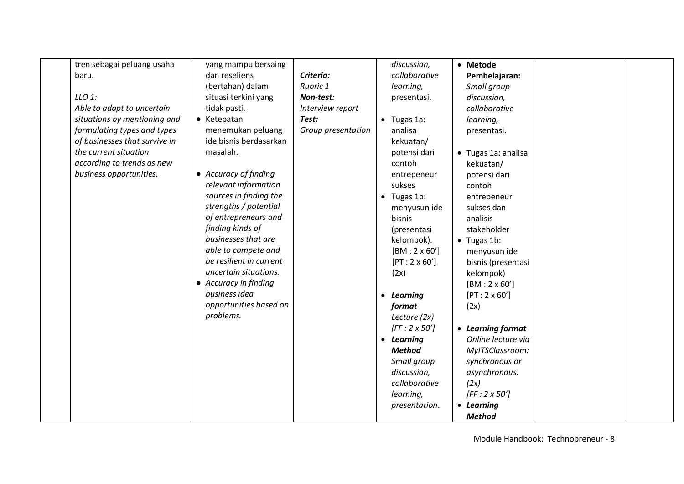| tren sebagai peluang usaha    | yang mampu bersaing     |                    |           | discussion,         | • Metode            |  |
|-------------------------------|-------------------------|--------------------|-----------|---------------------|---------------------|--|
| baru.                         | dan reseliens           | Criteria:          |           | collaborative       | Pembelajaran:       |  |
|                               | (bertahan) dalam        | Rubric 1           |           | learning,           | Small group         |  |
| $LLO$ 1:                      | situasi terkini yang    | Non-test:          |           | presentasi.         | discussion,         |  |
| Able to adapt to uncertain    | tidak pasti.            | Interview report   |           |                     | collaborative       |  |
| situations by mentioning and  | • Ketepatan             | Test:              |           | $\bullet$ Tugas 1a: | learning,           |  |
| formulating types and types   | menemukan peluang       | Group presentation |           | analisa             | presentasi.         |  |
| of businesses that survive in | ide bisnis berdasarkan  |                    |           | kekuatan/           |                     |  |
| the current situation         | masalah.                |                    |           | potensi dari        | • Tugas 1a: analisa |  |
| according to trends as new    |                         |                    |           | contoh              | kekuatan/           |  |
| business opportunities.       | • Accuracy of finding   |                    |           | entrepeneur         | potensi dari        |  |
|                               | relevant information    |                    |           | sukses              | contoh              |  |
|                               | sources in finding the  |                    |           | $\bullet$ Tugas 1b: | entrepeneur         |  |
|                               | strengths / potential   |                    |           | menyusun ide        | sukses dan          |  |
|                               | of entrepreneurs and    |                    |           | bisnis              | analisis            |  |
|                               | finding kinds of        |                    |           | (presentasi         | stakeholder         |  |
|                               | businesses that are     |                    |           | kelompok).          | $\bullet$ Tugas 1b: |  |
|                               | able to compete and     |                    |           | $[BM:2 \times 60']$ | menyusun ide        |  |
|                               | be resilient in current |                    |           | $[PT:2 \times 60']$ | bisnis (presentasi  |  |
|                               | uncertain situations.   |                    |           | (2x)                | kelompok)           |  |
|                               | • Accuracy in finding   |                    |           |                     | $[BM:2 \times 60']$ |  |
|                               | business idea           |                    | $\bullet$ | Learning            | $[PT:2 \times 60']$ |  |
|                               | opportunities based on  |                    |           | format              | (2x)                |  |
|                               | problems.               |                    |           | Lecture (2x)        |                     |  |
|                               |                         |                    |           | $[FF:2 \times 50']$ | • Learning format   |  |
|                               |                         |                    |           | • Learning          | Online lecture via  |  |
|                               |                         |                    |           | <b>Method</b>       | MyITSClassroom:     |  |
|                               |                         |                    |           | Small group         | synchronous or      |  |
|                               |                         |                    |           | discussion,         | asynchronous.       |  |
|                               |                         |                    |           | collaborative       | (2x)                |  |
|                               |                         |                    |           | learning,           | $[FF:2 \times 50']$ |  |
|                               |                         |                    |           | presentation.       | • Learning          |  |
|                               |                         |                    |           |                     | <b>Method</b>       |  |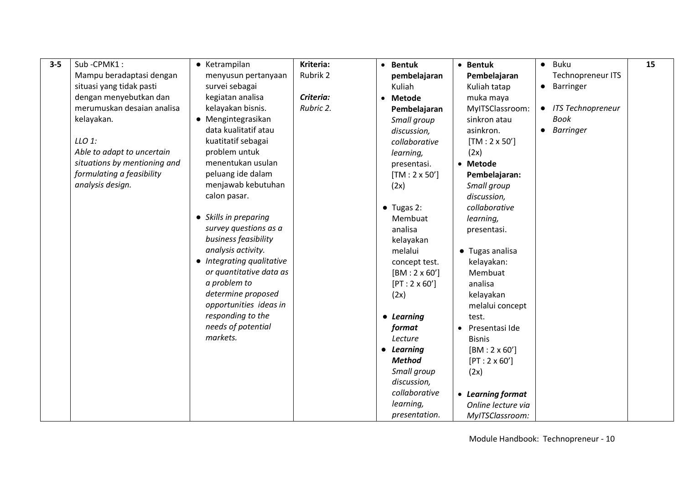| $3 - 5$ | Sub-CPMK1:                   | • Ketrampilan             | Kriteria: | • Bentuk             | • Bentuk             | Buku<br>$\bullet$      | 15 |
|---------|------------------------------|---------------------------|-----------|----------------------|----------------------|------------------------|----|
|         | Mampu beradaptasi dengan     | menyusun pertanyaan       | Rubrik 2  | pembelajaran         | Pembelajaran         | Technopreneur ITS      |    |
|         | situasi yang tidak pasti     | survei sebagai            |           | Kuliah               | Kuliah tatap         | Barringer<br>$\bullet$ |    |
|         | dengan menyebutkan dan       | kegiatan analisa          | Criteria: | • Metode             | muka maya            |                        |    |
|         | merumuskan desajan analisa   | kelayakan bisnis.         | Rubric 2. | Pembelajaran         | MyITSClassroom:      | • ITS Technopreneur    |    |
|         | kelayakan.                   | • Mengintegrasikan        |           | Small group          | sinkron atau         | Book                   |    |
|         |                              | data kualitatif atau      |           | discussion,          | asinkron.            | • Barringer            |    |
|         | $LLO$ 1:                     | kuatitatif sebagai        |           | collaborative        | $[TM: 2 \times 50']$ |                        |    |
|         | Able to adapt to uncertain   | problem untuk             |           | learning,            | (2x)                 |                        |    |
|         | situations by mentioning and | menentukan usulan         |           | presentasi.          | • Metode             |                        |    |
|         | formulating a feasibility    | peluang ide dalam         |           | $[TM: 2 \times 50']$ | Pembelajaran:        |                        |    |
|         | analysis design.             | menjawab kebutuhan        |           | (2x)                 | Small group          |                        |    |
|         |                              | calon pasar.              |           |                      | discussion,          |                        |    |
|         |                              |                           |           | $\bullet$ Tugas 2:   | collaborative        |                        |    |
|         |                              | • Skills in preparing     |           | Membuat              | learning,            |                        |    |
|         |                              | survey questions as a     |           | analisa              | presentasi.          |                        |    |
|         |                              | business feasibility      |           | kelayakan            |                      |                        |    |
|         |                              | analysis activity.        |           | melalui              | • Tugas analisa      |                        |    |
|         |                              | • Integrating qualitative |           | concept test.        | kelayakan:           |                        |    |
|         |                              | or quantitative data as   |           | $[BM:2 \times 60']$  | Membuat              |                        |    |
|         |                              | a problem to              |           | $[PT:2 \times 60']$  | analisa              |                        |    |
|         |                              | determine proposed        |           | (2x)                 | kelayakan            |                        |    |
|         |                              | opportunities ideas in    |           |                      | melalui concept      |                        |    |
|         |                              | responding to the         |           | • Learning           | test.                |                        |    |
|         |                              | needs of potential        |           | format               | Presentasi Ide       |                        |    |
|         |                              | markets.                  |           | Lecture              | <b>Bisnis</b>        |                        |    |
|         |                              |                           |           | • Learning           | $[BM:2 \times 60']$  |                        |    |
|         |                              |                           |           | <b>Method</b>        | $[PT:2 \times 60']$  |                        |    |
|         |                              |                           |           | Small group          | (2x)                 |                        |    |
|         |                              |                           |           | discussion,          |                      |                        |    |
|         |                              |                           |           | collaborative        | • Learning format    |                        |    |
|         |                              |                           |           | learning,            | Online lecture via   |                        |    |
|         |                              |                           |           | presentation.        | MyITSClassroom:      |                        |    |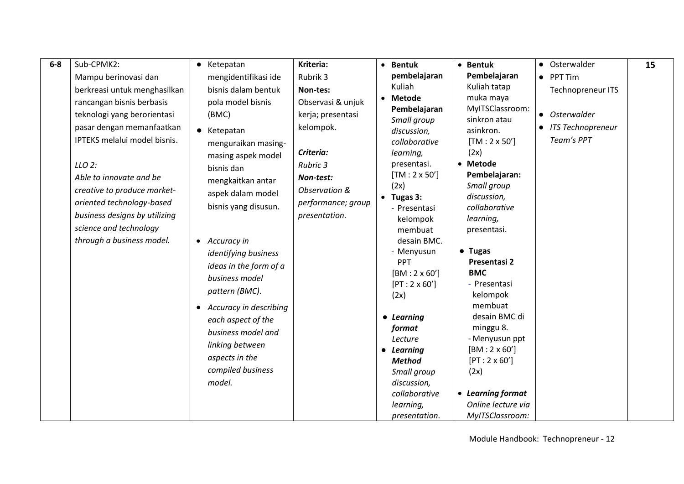| $6-8$ | Sub-CPMK2:                    | Ketepatan<br>$\bullet$ | Kriteria:          | • Bentuk                                   | • Bentuk                        | • Osterwalder            | 15 |
|-------|-------------------------------|------------------------|--------------------|--------------------------------------------|---------------------------------|--------------------------|----|
|       | Mampu berinovasi dan          | mengidentifikasi ide   | Rubrik 3           | pembelajaran                               | Pembelajaran                    | PPT Tim<br>$\bullet$     |    |
|       | berkreasi untuk menghasilkan  | bisnis dalam bentuk    | Non-tes:           | Kuliah                                     | Kuliah tatap                    | <b>Technopreneur ITS</b> |    |
|       | rancangan bisnis berbasis     | pola model bisnis      | Observasi & unjuk  | • Metode                                   | muka maya                       |                          |    |
|       | teknologi yang berorientasi   | (BMC)                  | kerja; presentasi  | Pembelajaran                               | MyITSClassroom:<br>sinkron atau | • Osterwalder            |    |
|       | pasar dengan memanfaatkan     | • Ketepatan            | kelompok.          | Small group<br>discussion,                 | asinkron.                       | • ITS Technopreneur      |    |
|       | IPTEKS melalui model bisnis.  | menguraikan masing-    |                    | collaborative                              | $[TM: 2 \times 50']$            | Team's PPT               |    |
|       |                               | masing aspek model     | Criteria:          | learning,                                  | (2x)                            |                          |    |
|       | $LLO$ 2:                      | bisnis dan             | Rubric 3           | presentasi.                                | • Metode                        |                          |    |
|       | Able to innovate and be       | mengkaitkan antar      | Non-test:          | $[TM: 2 \times 50']$                       | Pembelajaran:                   |                          |    |
|       | creative to produce market-   | aspek dalam model      | Observation &      | (2x)                                       | Small group                     |                          |    |
|       | oriented technology-based     | bisnis yang disusun.   | performance; group | $\bullet$ Tugas 3:<br>- Presentasi         | discussion,<br>collaborative    |                          |    |
|       | business designs by utilizing |                        | presentation.      | kelompok                                   | learning,                       |                          |    |
|       | science and technology        |                        |                    | membuat                                    | presentasi.                     |                          |    |
|       | through a business model.     | • Accuracy in          |                    | desain BMC.                                |                                 |                          |    |
|       |                               | identifying business   |                    | - Menyusun                                 | $\bullet$ Tugas                 |                          |    |
|       |                               | ideas in the form of a |                    | <b>PPT</b>                                 | Presentasi 2<br><b>BMC</b>      |                          |    |
|       |                               | business model         |                    | $[BM:2 \times 60']$<br>$[PT:2 \times 60']$ | - Presentasi                    |                          |    |
|       |                               | pattern (BMC).         |                    | (2x)                                       | kelompok                        |                          |    |
|       |                               | Accuracy in describing |                    |                                            | membuat                         |                          |    |
|       |                               | each aspect of the     |                    | • Learning                                 | desain BMC di                   |                          |    |
|       |                               | business model and     |                    | format                                     | minggu 8.                       |                          |    |
|       |                               | linking between        |                    | Lecture                                    | - Menyusun ppt                  |                          |    |
|       |                               | aspects in the         |                    | • Learning                                 | $[BM:2 \times 60']$             |                          |    |
|       |                               | compiled business      |                    | <b>Method</b><br>Small group               | $[PT:2 \times 60']$<br>(2x)     |                          |    |
|       |                               | model.                 |                    | discussion,                                |                                 |                          |    |
|       |                               |                        |                    | collaborative                              | • Learning format               |                          |    |
|       |                               |                        |                    | learning,                                  | Online lecture via              |                          |    |
|       |                               |                        |                    | presentation.                              | MyITSClassroom:                 |                          |    |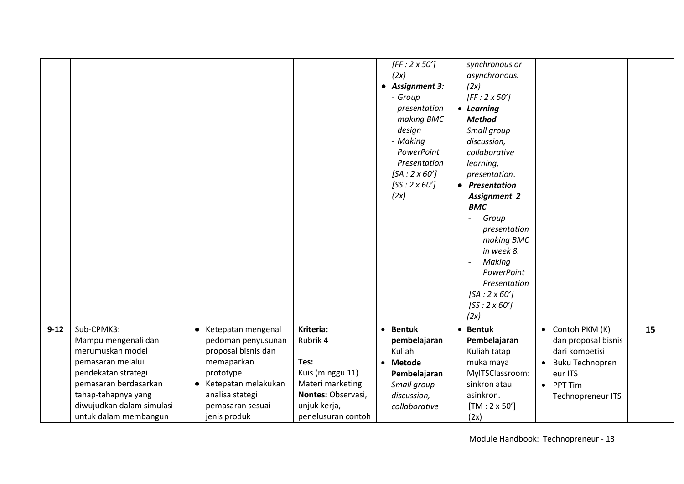|          |                                                                                                                                                                                                         |                                                                                                                                                                              |                                                                                                                                   | $[FF:2 \times 50']$<br>(2x)<br>• Assignment 3:<br>- Group<br>presentation<br>making BMC<br>design<br>- Making<br>PowerPoint<br>Presentation<br>$[SA:2 \times 60']$<br>$[SS:2 \times 60']$<br>(2x) | synchronous or<br>asynchronous.<br>(2x)<br>$[FF:2 \times 50']$<br>• Learning<br><b>Method</b><br>Small group<br>discussion,<br>collaborative<br>learning,<br>presentation.<br>• Presentation<br><b>Assignment 2</b><br><b>BMC</b><br>Group<br>presentation<br>making BMC<br>in week 8.<br>Making<br>PowerPoint<br>Presentation<br>$[SA:2 \times 60']$<br>$[SS:2 \times 60']$<br>(2x) |                                                                                                                                |    |
|----------|---------------------------------------------------------------------------------------------------------------------------------------------------------------------------------------------------------|------------------------------------------------------------------------------------------------------------------------------------------------------------------------------|-----------------------------------------------------------------------------------------------------------------------------------|---------------------------------------------------------------------------------------------------------------------------------------------------------------------------------------------------|--------------------------------------------------------------------------------------------------------------------------------------------------------------------------------------------------------------------------------------------------------------------------------------------------------------------------------------------------------------------------------------|--------------------------------------------------------------------------------------------------------------------------------|----|
| $9 - 12$ | Sub-CPMK3:<br>Mampu mengenali dan<br>merumuskan model<br>pemasaran melalui<br>pendekatan strategi<br>pemasaran berdasarkan<br>tahap-tahapnya yang<br>diwujudkan dalam simulasi<br>untuk dalam membangun | • Ketepatan mengenal<br>pedoman penyusunan<br>proposal bisnis dan<br>memaparkan<br>prototype<br>• Ketepatan melakukan<br>analisa stategi<br>pemasaran sesuai<br>jenis produk | Kriteria:<br>Rubrik 4<br>Tes:<br>Kuis (minggu 11)<br>Materi marketing<br>Nontes: Observasi,<br>unjuk kerja,<br>penelusuran contoh | • Bentuk<br>pembelajaran<br>Kuliah<br>• Metode<br>Pembelajaran<br>Small group<br>discussion,<br>collaborative                                                                                     | • Bentuk<br>Pembelajaran<br>Kuliah tatap<br>muka maya<br>MyITSClassroom:<br>sinkron atau<br>asinkron.<br>$[TM:2 \times 50']$<br>(2x)                                                                                                                                                                                                                                                 | Contoh PKM (K)<br>dan proposal bisnis<br>dari kompetisi<br><b>Buku Technopren</b><br>eur ITS<br>• PPT Tim<br>Technopreneur ITS | 15 |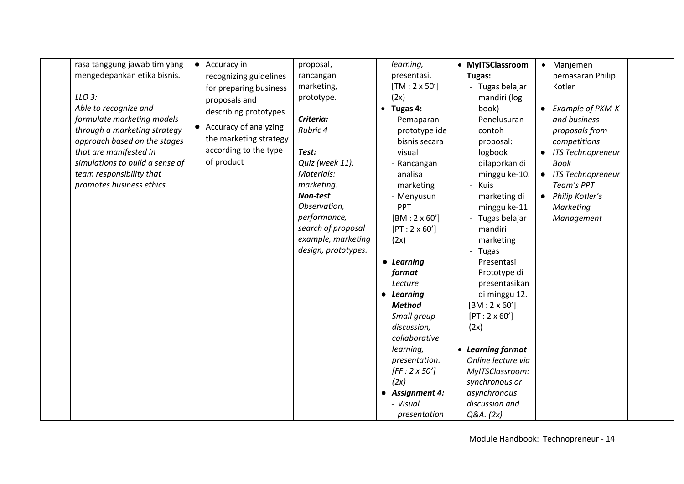|  | mengedepankan etika bisnis.<br>LLO 3:<br>Able to recognize and<br>formulate marketing models<br>through a marketing strategy<br>approach based on the stages<br>that are manifested in<br>simulations to build a sense of<br>team responsibility that<br>promotes business ethics. | recognizing guidelines<br>for preparing business<br>proposals and<br>describing prototypes<br>• Accuracy of analyzing<br>the marketing strategy<br>according to the type<br>of product | rancangan<br>marketing,<br>prototype.<br>Criteria:<br>Rubric 4<br>Test:<br>Quiz (week 11).<br>Materials:<br>marketing.<br>Non-test<br>Observation,<br>performance,<br>search of proposal<br>example, marketing<br>design, prototypes. | presentasi.<br>$[TM: 2 \times 50']$<br>(2x)<br>$\bullet$ Tugas 4:<br>- Pemaparan<br>prototype ide<br>bisnis secara<br>visual<br>- Rancangan<br>analisa<br>marketing<br>- Menyusun<br>PPT<br>$[BM:2 \times 60']$<br>$[PT:2 \times 60']$<br>(2x)<br>• Learning<br>format<br>Lecture<br>• Learning<br><b>Method</b><br>Small group<br>discussion,<br>collaborative<br>learning,<br>presentation.<br>$[FF:2 \times 50']$<br>(2x)<br><b>Assignment 4:</b><br>- Visual | Tugas:<br>- Tugas belajar<br>mandiri (log<br>book)<br>Penelusuran<br>contoh<br>proposal:<br>logbook<br>dilaporkan di<br>minggu ke-10.<br>- Kuis<br>marketing di<br>minggu ke-11<br>- Tugas belajar<br>mandiri<br>marketing<br>- Tugas<br>Presentasi<br>Prototype di<br>presentasikan<br>di minggu 12.<br>$[BM:2 \times 60']$<br>$[PT:2 \times 60']$<br>(2x)<br>• Learning format<br>Online lecture via<br>MyITSClassroom:<br>synchronous or<br>asynchronous<br>discussion and | pemasaran Philip<br>Kotler<br>$\bullet$ Example of PKM-K<br>and business<br>proposals from<br>competitions<br>• ITS Technopreneur<br><b>Book</b><br>• ITS Technopreneur<br>Team's PPT<br>• Philip Kotler's<br>Marketing<br>Management |  |
|--|------------------------------------------------------------------------------------------------------------------------------------------------------------------------------------------------------------------------------------------------------------------------------------|----------------------------------------------------------------------------------------------------------------------------------------------------------------------------------------|---------------------------------------------------------------------------------------------------------------------------------------------------------------------------------------------------------------------------------------|------------------------------------------------------------------------------------------------------------------------------------------------------------------------------------------------------------------------------------------------------------------------------------------------------------------------------------------------------------------------------------------------------------------------------------------------------------------|-------------------------------------------------------------------------------------------------------------------------------------------------------------------------------------------------------------------------------------------------------------------------------------------------------------------------------------------------------------------------------------------------------------------------------------------------------------------------------|---------------------------------------------------------------------------------------------------------------------------------------------------------------------------------------------------------------------------------------|--|
|--|------------------------------------------------------------------------------------------------------------------------------------------------------------------------------------------------------------------------------------------------------------------------------------|----------------------------------------------------------------------------------------------------------------------------------------------------------------------------------------|---------------------------------------------------------------------------------------------------------------------------------------------------------------------------------------------------------------------------------------|------------------------------------------------------------------------------------------------------------------------------------------------------------------------------------------------------------------------------------------------------------------------------------------------------------------------------------------------------------------------------------------------------------------------------------------------------------------|-------------------------------------------------------------------------------------------------------------------------------------------------------------------------------------------------------------------------------------------------------------------------------------------------------------------------------------------------------------------------------------------------------------------------------------------------------------------------------|---------------------------------------------------------------------------------------------------------------------------------------------------------------------------------------------------------------------------------------|--|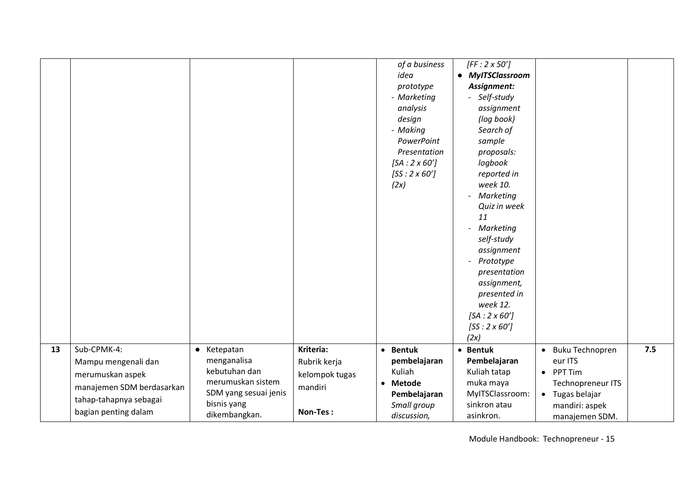|    |                                                                                                                                       |                                                                                                                           |                                                                    | of a business<br>idea<br>prototype<br>- Marketing<br>analysis<br>design<br>- Making<br>PowerPoint<br>Presentation<br>$[SA:2 \times 60']$<br>$[SS:2\times 60']$<br>(2x) | $[FF:2 \times 50']$<br>• MyITSClassroom<br>Assignment:<br>- Self-study<br>assignment<br>(log book)<br>Search of<br>sample<br>proposals:<br>logbook<br>reported in<br>week 10.<br>Marketing<br>Quiz in week<br>11<br>Marketing<br>self-study<br>assignment<br>Prototype<br>presentation<br>assignment,<br>presented in<br>week 12.<br>$[SA:2 \times 60']$<br>$[SS:2\times 60']$<br>(2x) |                                                                                                                                                    |     |
|----|---------------------------------------------------------------------------------------------------------------------------------------|---------------------------------------------------------------------------------------------------------------------------|--------------------------------------------------------------------|------------------------------------------------------------------------------------------------------------------------------------------------------------------------|----------------------------------------------------------------------------------------------------------------------------------------------------------------------------------------------------------------------------------------------------------------------------------------------------------------------------------------------------------------------------------------|----------------------------------------------------------------------------------------------------------------------------------------------------|-----|
| 13 | Sub-CPMK-4:<br>Mampu mengenali dan<br>merumuskan aspek<br>manajemen SDM berdasarkan<br>tahap-tahapnya sebagai<br>bagian penting dalam | • Ketepatan<br>menganalisa<br>kebutuhan dan<br>merumuskan sistem<br>SDM yang sesuai jenis<br>bisnis yang<br>dikembangkan. | Kriteria:<br>Rubrik kerja<br>kelompok tugas<br>mandiri<br>Non-Tes: | • Bentuk<br>pembelajaran<br>Kuliah<br>• Metode<br>Pembelajaran<br>Small group<br>discussion,                                                                           | • Bentuk<br>Pembelajaran<br>Kuliah tatap<br>muka maya<br>MyITSClassroom:<br>sinkron atau<br>asinkron.                                                                                                                                                                                                                                                                                  | <b>Buku Technopren</b><br>$\bullet$<br>eur ITS<br>• PPT Tim<br>Technopreneur ITS<br>Tugas belajar<br>$\bullet$<br>mandiri: aspek<br>manajemen SDM. | 7.5 |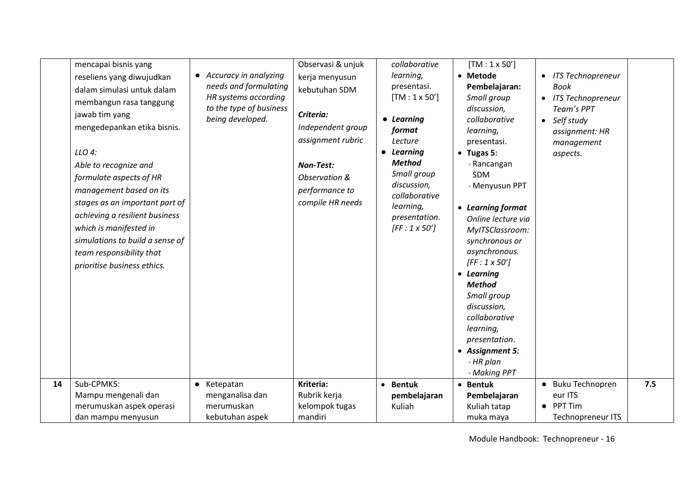|    | mencapai bisnis yang<br>reseliens yang diwujudkan<br>dalam simulasi untuk dalam<br>membangun rasa tanggung<br>jawab tim yang<br>mengedepankan etika bisnis.<br>LLO 4:<br>Able to recognize and<br>formulate aspects of HR<br>management based on its<br>stages as an important part of<br>achieving a resilient business<br>which is manifested in<br>simulations to build a sense of<br>team responsibility that<br>prioritise business ethics. | • Accuracy in analyzing<br>needs and formulating<br>HR systems according<br>to the type of business<br>being developed. | Observasi & unjuk<br>kerja menyusun<br>kebutuhan SDM<br>Criteria:<br>Independent group<br>assignment rubric<br><b>Non-Test:</b><br>Observation &<br>performance to<br>compile HR needs | collaborative<br>learning,<br>presentasi.<br>$[TM: 1 \times 50']$<br>• Learning<br>format<br>Lecture<br>• Learning<br><b>Method</b><br>Small group<br>discussion,<br>collaborative<br>learning,<br>presentation.<br>$[FF:1 \times 50']$ | $[TM: 1 \times 50']$<br>• Metode<br>Pembelajaran:<br>Small group<br>discussion,<br>collaborative<br>learning,<br>presentasi.<br>$\bullet$ Tugas 5:<br>- Rancangan<br>SDM<br>- Menyusun PPT<br>• Learning format<br>Online lecture via<br>MyITSClassroom:<br>synchronous or<br>asynchronous.<br>$[FF:1 \times 50']$<br>• Learning<br><b>Method</b><br>Small group<br>discussion,<br>collaborative<br>learning,<br>presentation.<br>• Assignment 5:<br>- HR plan<br>- Making PPT | <b>ITS Technopreneur</b><br>$\bullet$<br><b>Book</b><br>• ITS Technopreneur<br>Team's PPT<br>Self study<br>$\bullet$<br>assignment: HR<br>management<br>aspects. |     |
|----|--------------------------------------------------------------------------------------------------------------------------------------------------------------------------------------------------------------------------------------------------------------------------------------------------------------------------------------------------------------------------------------------------------------------------------------------------|-------------------------------------------------------------------------------------------------------------------------|----------------------------------------------------------------------------------------------------------------------------------------------------------------------------------------|-----------------------------------------------------------------------------------------------------------------------------------------------------------------------------------------------------------------------------------------|--------------------------------------------------------------------------------------------------------------------------------------------------------------------------------------------------------------------------------------------------------------------------------------------------------------------------------------------------------------------------------------------------------------------------------------------------------------------------------|------------------------------------------------------------------------------------------------------------------------------------------------------------------|-----|
| 14 | Sub-CPMK5:<br>Mampu mengenali dan<br>merumuskan aspek operasi<br>dan mampu menyusun                                                                                                                                                                                                                                                                                                                                                              | • Ketepatan<br>menganalisa dan<br>merumuskan<br>kebutuhan aspek                                                         | Kriteria:<br>Rubrik kerja<br>kelompok tugas<br>mandiri                                                                                                                                 | • Bentuk<br>pembelajaran<br>Kuliah                                                                                                                                                                                                      | • Bentuk<br>Pembelajaran<br>Kuliah tatap<br>muka maya                                                                                                                                                                                                                                                                                                                                                                                                                          | <b>Buku Technopren</b><br>eur ITS<br><b>PPT Tim</b><br><b>Technopreneur ITS</b>                                                                                  | 7.5 |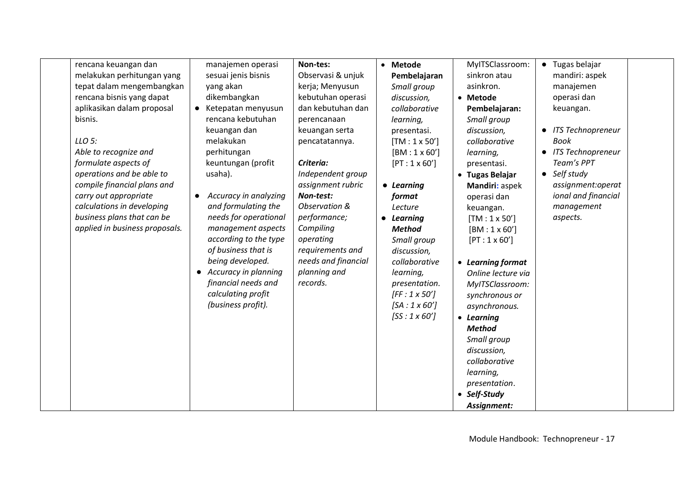| rencana keuangan dan<br>melakukan perhitungan yang<br>tepat dalam mengembangkan<br>rencana bisnis yang dapat<br>aplikasikan dalam proposal<br>bisnis.                                                                                      | $\bullet$              | manajemen operasi<br>sesuai jenis bisnis<br>yang akan<br>dikembangkan<br>Ketepatan menyusun<br>rencana kebutuhan<br>keuangan dan                                                                                                                                                                                        | Non-tes:<br>Observasi & unjuk<br>kerja; Menyusun<br>kebutuhan operasi<br>dan kebutuhan dan<br>perencanaan<br>keuangan serta                                                                                          | • Metode<br>Pembelajaran<br>Small group<br>discussion,<br>collaborative<br>learning,<br>presentasi.                                                                                                                                                                                     | MyITSClassroom:<br>sinkron atau<br>asinkron.<br>• Metode<br>Pembelajaran:<br>Small group<br>discussion,                                                                                                                                                                                                                                                                                                                       | $\bullet$<br>$\bullet$ | Tugas belajar<br>mandiri: aspek<br>manajemen<br>operasi dan<br>keuangan.<br><b>ITS Technopreneur</b>                                   |  |
|--------------------------------------------------------------------------------------------------------------------------------------------------------------------------------------------------------------------------------------------|------------------------|-------------------------------------------------------------------------------------------------------------------------------------------------------------------------------------------------------------------------------------------------------------------------------------------------------------------------|----------------------------------------------------------------------------------------------------------------------------------------------------------------------------------------------------------------------|-----------------------------------------------------------------------------------------------------------------------------------------------------------------------------------------------------------------------------------------------------------------------------------------|-------------------------------------------------------------------------------------------------------------------------------------------------------------------------------------------------------------------------------------------------------------------------------------------------------------------------------------------------------------------------------------------------------------------------------|------------------------|----------------------------------------------------------------------------------------------------------------------------------------|--|
| LLO 5:<br>Able to recognize and<br>formulate aspects of<br>operations and be able to<br>compile financial plans and<br>carry out appropriate<br>calculations in developing<br>business plans that can be<br>applied in business proposals. | $\bullet$<br>$\bullet$ | melakukan<br>perhitungan<br>keuntungan (profit<br>usaha).<br>Accuracy in analyzing<br>and formulating the<br>needs for operational<br>management aspects<br>according to the type<br>of business that is<br>being developed.<br>Accuracy in planning<br>financial needs and<br>calculating profit<br>(business profit). | pencatatannya.<br>Criteria:<br>Independent group<br>assignment rubric<br>Non-test:<br>Observation &<br>performance;<br>Compiling<br>operating<br>requirements and<br>needs and financial<br>planning and<br>records. | $[TM: 1 \times 50']$<br>$[BM: 1 \times 60']$<br>$[PT: 1 \times 60']$<br>• Learning<br>format<br>Lecture<br>• Learning<br><b>Method</b><br>Small group<br>discussion,<br>collaborative<br>learning,<br>presentation.<br>$[FF:1 \times 50']$<br>$[SA:1 \times 60']$<br>$[SS:1\times 60']$ | collaborative<br>learning,<br>presentasi.<br>• Tugas Belajar<br>Mandiri: aspek<br>operasi dan<br>keuangan.<br>$[TM: 1 \times 50']$<br>$[BM:1 \times 60']$<br>$[PT: 1 \times 60']$<br>• Learning format<br>Online lecture via<br>MyITSClassroom:<br>synchronous or<br>asynchronous.<br>• Learning<br><b>Method</b><br>Small group<br>discussion,<br>collaborative<br>learning,<br>presentation.<br>• Self-Study<br>Assignment: |                        | <b>Book</b><br>• ITS Technopreneur<br>Team's PPT<br>• Self study<br>assignment:operat<br>ional and financial<br>management<br>aspects. |  |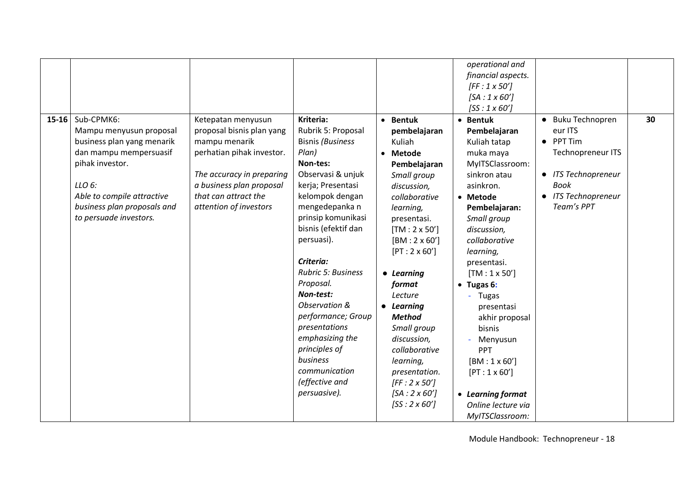|                                                                                                                                                                                                                         |                                                                                                                                                                                                          |                                                                                                                                                                                                                                                                                                                                                                                                                                                   |                                                                                                                                                                                                                                                                                                                                                                                                                                     | operational and<br>financial aspects.<br>$[FF:1 \times 50']$<br>$[SA:1 \times 60']$<br>$[SS:1\times60']$                                                                                                                                                                                                                                                                                                                                  |                                                                                                                                                                                          |    |
|-------------------------------------------------------------------------------------------------------------------------------------------------------------------------------------------------------------------------|----------------------------------------------------------------------------------------------------------------------------------------------------------------------------------------------------------|---------------------------------------------------------------------------------------------------------------------------------------------------------------------------------------------------------------------------------------------------------------------------------------------------------------------------------------------------------------------------------------------------------------------------------------------------|-------------------------------------------------------------------------------------------------------------------------------------------------------------------------------------------------------------------------------------------------------------------------------------------------------------------------------------------------------------------------------------------------------------------------------------|-------------------------------------------------------------------------------------------------------------------------------------------------------------------------------------------------------------------------------------------------------------------------------------------------------------------------------------------------------------------------------------------------------------------------------------------|------------------------------------------------------------------------------------------------------------------------------------------------------------------------------------------|----|
| 15-16 Sub-CPMK6:<br>Mampu menyusun proposal<br>business plan yang menarik<br>dan mampu mempersuasif<br>pihak investor.<br>LLO 6:<br>Able to compile attractive<br>business plan proposals and<br>to persuade investors. | Ketepatan menyusun<br>proposal bisnis plan yang<br>mampu menarik<br>perhatian pihak investor.<br>The accuracy in preparing<br>a business plan proposal<br>that can attract the<br>attention of investors | Kriteria:<br>Rubrik 5: Proposal<br><b>Bisnis (Business</b><br>Plan)<br>Non-tes:<br>Observasi & unjuk<br>kerja; Presentasi<br>kelompok dengan<br>mengedepanka n<br>prinsip komunikasi<br>bisnis (efektif dan<br>persuasi).<br>Criteria:<br>Rubric 5: Business<br>Proposal.<br>Non-test:<br>Observation &<br>performance; Group<br>presentations<br>emphasizing the<br>principles of<br>business<br>communication<br>(effective and<br>persuasive). | • Bentuk<br>pembelajaran<br>Kuliah<br>• Metode<br>Pembelajaran<br>Small group<br>discussion,<br>collaborative<br>learning,<br>presentasi.<br>$[TM: 2 \times 50']$<br>$[BM:2 \times 60']$<br>$[PT:2 \times 60']$<br>• Learning<br>format<br>Lecture<br>• Learning<br><b>Method</b><br>Small group<br>discussion,<br>collaborative<br>learning,<br>presentation.<br>$[FF:2 \times 50']$<br>$[SA:2 \times 60']$<br>$[SS:2 \times 60']$ | • Bentuk<br>Pembelajaran<br>Kuliah tatap<br>muka maya<br>MyITSClassroom:<br>sinkron atau<br>asinkron.<br>• Metode<br>Pembelajaran:<br>Small group<br>discussion,<br>collaborative<br>learning,<br>presentasi.<br>$[TM: 1 \times 50']$<br>• Tugas 6:<br>- Tugas<br>presentasi<br>akhir proposal<br>bisnis<br>Menyusun<br>PPT<br>$[BM: 1 \times 60']$<br>$[PT: 1 \times 60']$<br>• Learning format<br>Online lecture via<br>MyITSClassroom: | <b>Buku Technopren</b><br>$\bullet$<br>eur ITS<br>PPT Tim<br>$\bullet$<br><b>Technopreneur ITS</b><br>• ITS Technopreneur<br>Book<br><b>ITS Technopreneur</b><br>$\bullet$<br>Team's PPT | 30 |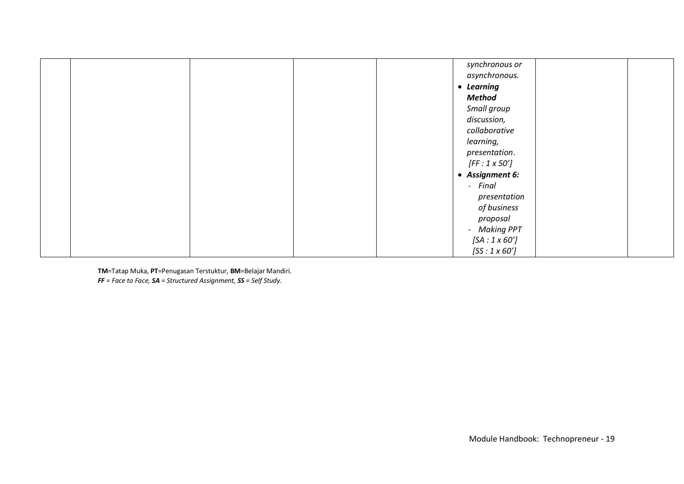| synchronous or      |
|---------------------|
| asynchronous.       |
| • Learning          |
| <b>Method</b>       |
| Small group         |
| discussion,         |
| collaborative       |
| learning,           |
| presentation.       |
| $[FF:1 \times 50']$ |
| • Assignment 6:     |
| - Final             |
| presentation        |
| of business         |
| proposal            |
| - Making PPT        |
| $[SA:1 \times 60']$ |
| $[SS:1\times 60']$  |

**TM**=Tatap Muka, **PT**=Penugasan Terstuktur, **BM**=Belajar Mandiri. *FF = Face to Face, SA = Structured Assignment, SS = Self Study.*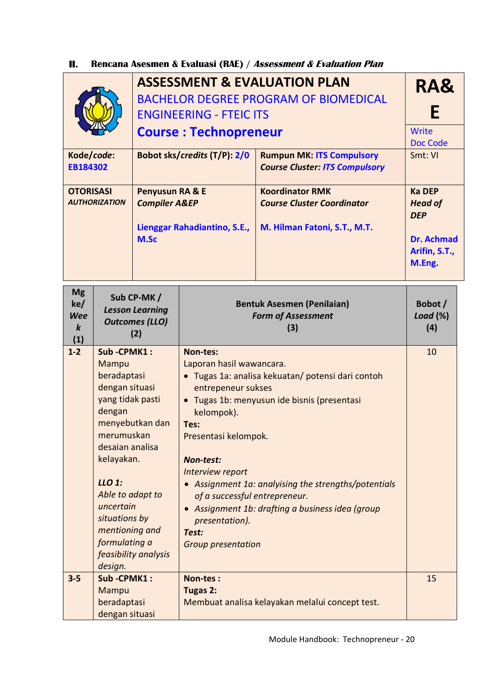## **II. Rencana Asesmen & Evaluasi (RAE) / Assessment & Evaluation Plan**

| Kode/code:<br>EB184302<br><b>OTORISASI</b><br>Penyusun RA & E<br><b>AUTHORIZATION</b><br><b>Compiler A&amp;EP</b><br>M.Sc<br><b>Mg</b><br>Sub CP-MK / |                                                                                                                                                                                                                                             | <b>ENGINEERING - FTEIC ITS</b><br><b>Course: Technopreneur</b><br>Bobot sks/credits (T/P): 2/0<br>Lienggar Rahadiantino, S.E., | <b>ASSESSMENT &amp; EVALUATION PLAN</b><br><b>BACHELOR DEGREE PROGRAM OF BIOMEDICAL</b><br><b>Rumpun MK: ITS Compulsory</b><br><b>Course Cluster: ITS Compulsory</b><br><b>Koordinator RMK</b><br><b>Course Cluster Coordinator</b><br>M. Hilman Fatoni, S.T., M.T.                                                                                                                                                                                       | RA&<br>Е<br>Write<br><b>Doc Code</b><br>Smt: VI<br><b>Ka DEP</b><br><b>Head of</b><br><b>DEP</b><br><b>Dr. Achmad</b><br>Arifin, S.T.,<br>M.Eng. |    |  |  |
|-------------------------------------------------------------------------------------------------------------------------------------------------------|---------------------------------------------------------------------------------------------------------------------------------------------------------------------------------------------------------------------------------------------|--------------------------------------------------------------------------------------------------------------------------------|-----------------------------------------------------------------------------------------------------------------------------------------------------------------------------------------------------------------------------------------------------------------------------------------------------------------------------------------------------------------------------------------------------------------------------------------------------------|--------------------------------------------------------------------------------------------------------------------------------------------------|----|--|--|
| ke/<br><b>Wee</b><br>$\boldsymbol{k}$<br>(1)                                                                                                          |                                                                                                                                                                                                                                             | <b>Lesson Learning</b><br><b>Outcomes (LLO)</b><br>(2)                                                                         |                                                                                                                                                                                                                                                                                                                                                                                                                                                           | <b>Bentuk Asesmen (Penilaian)</b><br><b>Form of Assessment</b><br>(3)                                                                            |    |  |  |
| $1 - 2$                                                                                                                                               | Sub-CPMK1:<br>Mampu<br>beradaptasi<br>dengan situasi<br>yang tidak pasti<br>dengan<br>merumuskan<br>desaian analisa<br>kelayakan.<br>LLO 1:<br>Able to adapt to<br>uncertain<br>situations by<br>mentioning and<br>formulating a<br>design. | menyebutkan dan<br>feasibility analysis                                                                                        | Non-tes:<br>Laporan hasil wawancara.<br>· Tugas 1a: analisa kekuatan/ potensi dari contoh<br>entrepeneur sukses<br>· Tugas 1b: menyusun ide bisnis (presentasi<br>kelompok).<br>Tes:<br>Presentasi kelompok.<br><b>Non-test:</b><br>Interview report<br>• Assignment 1a: analyising the strengths/potentials<br>of a successful entrepreneur.<br>• Assignment 1b: drafting a business idea (group<br>presentation).<br>Test:<br><b>Group presentation</b> |                                                                                                                                                  |    |  |  |
| $3 - 5$                                                                                                                                               | Sub-CPMK1:<br>Mampu<br>beradaptasi<br>dengan situasi                                                                                                                                                                                        |                                                                                                                                | Non-tes:<br>Tugas 2:                                                                                                                                                                                                                                                                                                                                                                                                                                      | Membuat analisa kelayakan melalui concept test.                                                                                                  | 15 |  |  |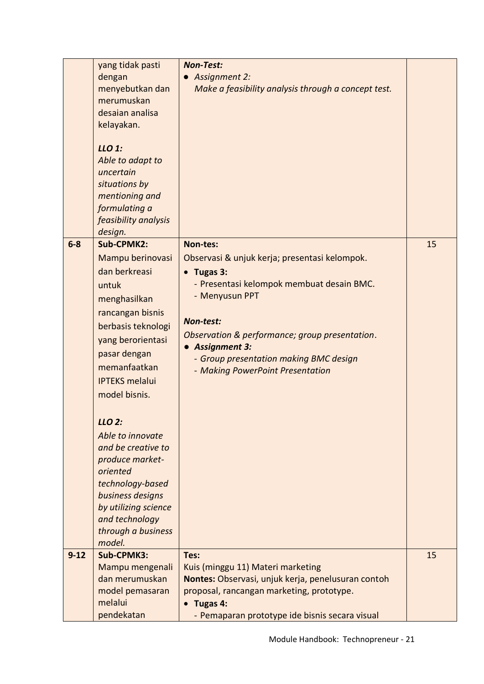|          | yang tidak pasti<br>dengan<br>menyebutkan dan<br>merumuskan<br>desaian analisa<br>kelayakan.<br>LLO 1:<br>Able to adapt to                                                                                                                                                                                                                                                                                              | <b>Non-Test:</b><br><b>Assignment 2:</b><br>Make a feasibility analysis through a concept test.                                                                                                                                                                                                                            |    |
|----------|-------------------------------------------------------------------------------------------------------------------------------------------------------------------------------------------------------------------------------------------------------------------------------------------------------------------------------------------------------------------------------------------------------------------------|----------------------------------------------------------------------------------------------------------------------------------------------------------------------------------------------------------------------------------------------------------------------------------------------------------------------------|----|
|          | uncertain<br>situations by<br>mentioning and<br>formulating a<br>feasibility analysis                                                                                                                                                                                                                                                                                                                                   |                                                                                                                                                                                                                                                                                                                            |    |
| $6-8$    | design.<br>Sub-CPMK2:<br>Mampu berinovasi<br>dan berkreasi<br>untuk<br>menghasilkan<br>rancangan bisnis<br>berbasis teknologi<br>yang berorientasi<br>pasar dengan<br>memanfaatkan<br><b>IPTEKS melalui</b><br>model bisnis.<br>LLO 2:<br>Able to innovate<br>and be creative to<br>produce market-<br>oriented<br>technology-based<br>business designs<br>by utilizing science<br>and technology<br>through a business | Non-tes:<br>Observasi & unjuk kerja; presentasi kelompok.<br>$\bullet$ Tugas 3:<br>- Presentasi kelompok membuat desain BMC.<br>- Menyusun PPT<br><b>Non-test:</b><br>Observation & performance; group presentation.<br><b>Assignment 3:</b><br>- Group presentation making BMC design<br>- Making PowerPoint Presentation | 15 |
| $9 - 12$ | model.<br>Sub-CPMK3:<br>Mampu mengenali<br>dan merumuskan<br>model pemasaran<br>melalui<br>pendekatan                                                                                                                                                                                                                                                                                                                   | Tes:<br>Kuis (minggu 11) Materi marketing<br>Nontes: Observasi, unjuk kerja, penelusuran contoh<br>proposal, rancangan marketing, prototype.<br>Tugas 4:<br>- Pemaparan prototype ide bisnis secara visual                                                                                                                 | 15 |
|          |                                                                                                                                                                                                                                                                                                                                                                                                                         |                                                                                                                                                                                                                                                                                                                            |    |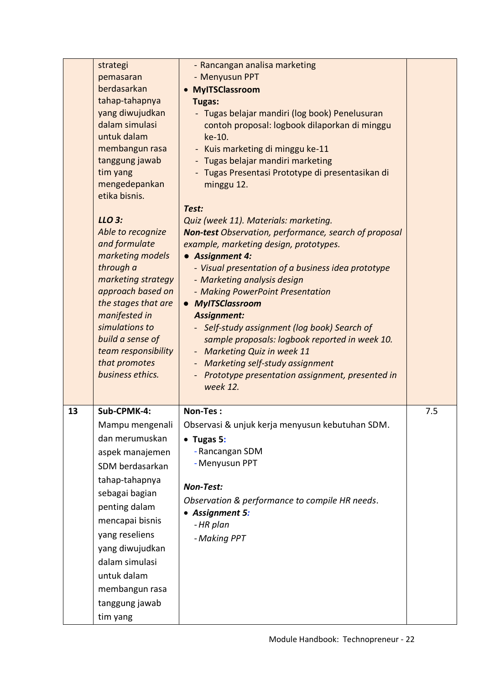|    | strategi<br>pemasaran<br>berdasarkan<br>tahap-tahapnya<br>yang diwujudkan<br>dalam simulasi<br>untuk dalam<br>membangun rasa<br>tanggung jawab<br>tim yang<br>mengedepankan<br>etika bisnis.<br>LLO 3:<br>Able to recognize<br>and formulate<br>marketing models<br>through a<br>marketing strategy<br>approach based on<br>the stages that are<br>manifested in<br>simulations to<br>build a sense of<br>team responsibility<br>that promotes<br>business ethics. | - Rancangan analisa marketing<br>- Menyusun PPT<br>• MyITSClassroom<br><b>Tugas:</b><br>- Tugas belajar mandiri (log book) Penelusuran<br>contoh proposal: logbook dilaporkan di minggu<br>ke-10.<br>- Kuis marketing di minggu ke-11<br>- Tugas belajar mandiri marketing<br>- Tugas Presentasi Prototype di presentasikan di<br>minggu 12.<br>Test:<br>Quiz (week 11). Materials: marketing.<br><b>Non-test</b> Observation, performance, search of proposal<br>example, marketing design, prototypes.<br>• Assignment 4:<br>- Visual presentation of a business idea prototype<br>- Marketing analysis design<br>- Making PowerPoint Presentation<br>• MyITSClassroom<br><b>Assignment:</b><br>- Self-study assignment (log book) Search of<br>sample proposals: logbook reported in week 10.<br>- Marketing Quiz in week 11<br>- Marketing self-study assignment<br>- Prototype presentation assignment, presented in<br>week 12. |     |
|----|--------------------------------------------------------------------------------------------------------------------------------------------------------------------------------------------------------------------------------------------------------------------------------------------------------------------------------------------------------------------------------------------------------------------------------------------------------------------|---------------------------------------------------------------------------------------------------------------------------------------------------------------------------------------------------------------------------------------------------------------------------------------------------------------------------------------------------------------------------------------------------------------------------------------------------------------------------------------------------------------------------------------------------------------------------------------------------------------------------------------------------------------------------------------------------------------------------------------------------------------------------------------------------------------------------------------------------------------------------------------------------------------------------------------|-----|
| 13 | Sub-CPMK-4:<br>Mampu mengenali<br>dan merumuskan<br>aspek manajemen<br>SDM berdasarkan<br>tahap-tahapnya<br>sebagai bagian<br>penting dalam<br>mencapai bisnis<br>yang reseliens<br>yang diwujudkan<br>dalam simulasi<br>untuk dalam<br>membangun rasa<br>tanggung jawab                                                                                                                                                                                           | Non-Tes:<br>Observasi & unjuk kerja menyusun kebutuhan SDM.<br>$\bullet$ Tugas 5:<br>- Rancangan SDM<br>- Menyusun PPT<br><b>Non-Test:</b><br>Observation & performance to compile HR needs.<br>• Assignment 5:<br>- HR plan<br>- Making PPT                                                                                                                                                                                                                                                                                                                                                                                                                                                                                                                                                                                                                                                                                          | 7.5 |
|    | tim yang                                                                                                                                                                                                                                                                                                                                                                                                                                                           |                                                                                                                                                                                                                                                                                                                                                                                                                                                                                                                                                                                                                                                                                                                                                                                                                                                                                                                                       |     |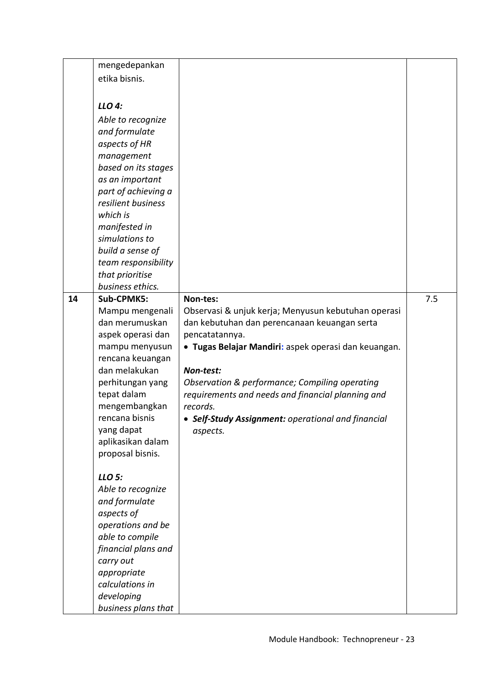|    | mengedepankan       |                                                      |     |
|----|---------------------|------------------------------------------------------|-----|
|    | etika bisnis.       |                                                      |     |
|    |                     |                                                      |     |
|    | LLO 4:              |                                                      |     |
|    |                     |                                                      |     |
|    | Able to recognize   |                                                      |     |
|    | and formulate       |                                                      |     |
|    | aspects of HR       |                                                      |     |
|    | management          |                                                      |     |
|    | based on its stages |                                                      |     |
|    | as an important     |                                                      |     |
|    | part of achieving a |                                                      |     |
|    | resilient business  |                                                      |     |
|    |                     |                                                      |     |
|    | which is            |                                                      |     |
|    | manifested in       |                                                      |     |
|    | simulations to      |                                                      |     |
|    | build a sense of    |                                                      |     |
|    | team responsibility |                                                      |     |
|    | that prioritise     |                                                      |     |
|    | business ethics.    |                                                      |     |
| 14 | Sub-CPMK5:          | Non-tes:                                             | 7.5 |
|    | Mampu mengenali     | Observasi & unjuk kerja; Menyusun kebutuhan operasi  |     |
|    | dan merumuskan      | dan kebutuhan dan perencanaan keuangan serta         |     |
|    | aspek operasi dan   | pencatatannya.                                       |     |
|    | mampu menyusun      | • Tugas Belajar Mandiri: aspek operasi dan keuangan. |     |
|    | rencana keuangan    |                                                      |     |
|    | dan melakukan       | Non-test:                                            |     |
|    |                     |                                                      |     |
|    | perhitungan yang    | Observation & performance; Compiling operating       |     |
|    | tepat dalam         | requirements and needs and financial planning and    |     |
|    | mengembangkan       | records.                                             |     |
|    | rencana bisnis      | • Self-Study Assignment: operational and financial   |     |
|    | yang dapat          | aspects.                                             |     |
|    | aplikasikan dalam   |                                                      |     |
|    | proposal bisnis.    |                                                      |     |
|    |                     |                                                      |     |
|    | LLO 5:              |                                                      |     |
|    | Able to recognize   |                                                      |     |
|    | and formulate       |                                                      |     |
|    | aspects of          |                                                      |     |
|    | operations and be   |                                                      |     |
|    | able to compile     |                                                      |     |
|    | financial plans and |                                                      |     |
|    | carry out           |                                                      |     |
|    | appropriate         |                                                      |     |
|    | calculations in     |                                                      |     |
|    | developing          |                                                      |     |
|    | business plans that |                                                      |     |
|    |                     |                                                      |     |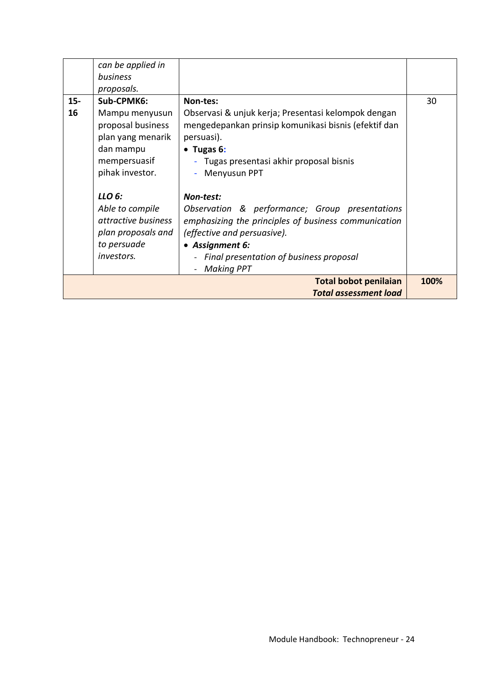|        | can be applied in   |                                                      |      |
|--------|---------------------|------------------------------------------------------|------|
|        | business            |                                                      |      |
|        | proposals.          |                                                      |      |
| $15 -$ | Sub-CPMK6:          | Non-tes:                                             | 30   |
| 16     | Mampu menyusun      | Observasi & unjuk kerja; Presentasi kelompok dengan  |      |
|        | proposal business   | mengedepankan prinsip komunikasi bisnis (efektif dan |      |
|        | plan yang menarik   | persuasi).                                           |      |
|        | dan mampu           | $\bullet$ Tugas 6:                                   |      |
|        | mempersuasif        | - Tugas presentasi akhir proposal bisnis             |      |
|        | pihak investor.     | Menyusun PPT                                         |      |
|        |                     |                                                      |      |
|        | LLO 6:              | Non-test:                                            |      |
|        | Able to compile     | Observation & performance; Group presentations       |      |
|        | attractive business | emphasizing the principles of business communication |      |
|        | plan proposals and  | (effective and persuasive).                          |      |
|        | to persuade         | • Assignment 6:                                      |      |
|        | <i>investors.</i>   | - Final presentation of business proposal            |      |
|        |                     | <b>Making PPT</b>                                    |      |
|        |                     | <b>Total bobot penilaian</b>                         | 100% |
|        |                     | <b>Total assessment load</b>                         |      |